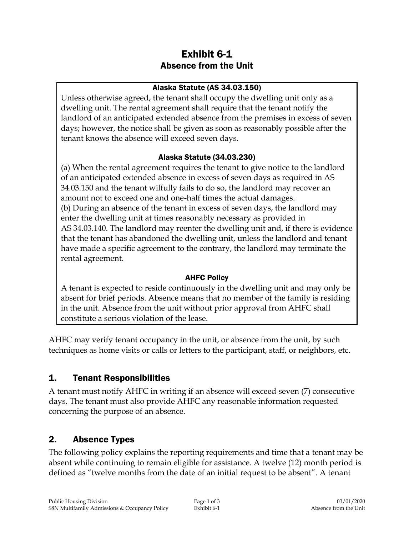# Exhibit 6-1 Absence from the Unit

#### Alaska Statute (AS 34.03.150)

Unless otherwise agreed, the tenant shall occupy the dwelling unit only as a dwelling unit. The rental agreement shall require that the tenant notify the landlord of an anticipated extended absence from the premises in excess of seven days; however, the notice shall be given as soon as reasonably possible after the tenant knows the absence will exceed seven days.

#### Alaska Statute (34.03.230)

(a) When the rental agreement requires the tenant to give notice to the landlord of an anticipated extended absence in excess of seven days as required in AS 34.03.150 and the tenant wilfully fails to do so, the landlord may recover an amount not to exceed one and one-half times the actual damages. (b) During an absence of the tenant in excess of seven days, the landlord may enter the dwelling unit at times reasonably necessary as provided in AS 34.03.140. The landlord may reenter the dwelling unit and, if there is evidence that the tenant has abandoned the dwelling unit, unless the landlord and tenant have made a specific agreement to the contrary, the landlord may terminate the rental agreement.

#### AHFC Policy

A tenant is expected to reside continuously in the dwelling unit and may only be absent for brief periods. Absence means that no member of the family is residing in the unit. Absence from the unit without prior approval from AHFC shall constitute a serious violation of the lease.

AHFC may verify tenant occupancy in the unit, or absence from the unit, by such techniques as home visits or calls or letters to the participant, staff, or neighbors, etc.

#### 1. Tenant Responsibilities

A tenant must notify AHFC in writing if an absence will exceed seven (7) consecutive days. The tenant must also provide AHFC any reasonable information requested concerning the purpose of an absence.

#### 2. Absence Types

The following policy explains the reporting requirements and time that a tenant may be absent while continuing to remain eligible for assistance. A twelve (12) month period is defined as "twelve months from the date of an initial request to be absent". A tenant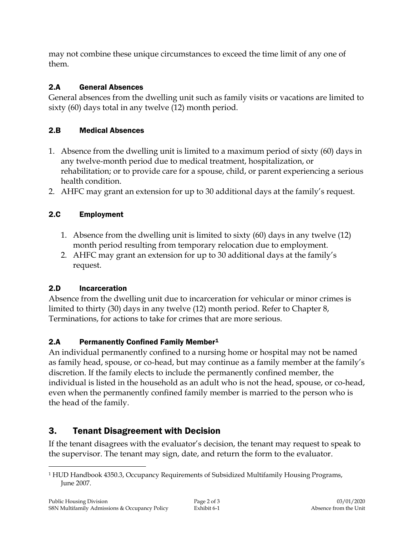may not combine these unique circumstances to exceed the time limit of any one of them.

### 2.A General Absences

General absences from the dwelling unit such as family visits or vacations are limited to sixty (60) days total in any twelve (12) month period.

### 2.B Medical Absences

- 1. Absence from the dwelling unit is limited to a maximum period of sixty (60) days in any twelve-month period due to medical treatment, hospitalization, or rehabilitation; or to provide care for a spouse, child, or parent experiencing a serious health condition.
- 2. AHFC may grant an extension for up to 30 additional days at the family's request.

## 2.C Employment

- 1. Absence from the dwelling unit is limited to sixty (60) days in any twelve (12) month period resulting from temporary relocation due to employment.
- 2. AHFC may grant an extension for up to 30 additional days at the family's request.

## 2.D Incarceration

Absence from the dwelling unit due to incarceration for vehicular or minor crimes is limited to thirty (30) days in any twelve (12) month period. Refer to Chapter 8, Terminations, for actions to take for crimes that are more serious.

#### 2.A Permanently Confined Family Member<sup>1</sup>

An individual permanently confined to a nursing home or hospital may not be named as family head, spouse, or co-head, but may continue as a family member at the family's discretion. If the family elects to include the permanently confined member, the individual is listed in the household as an adult who is not the head, spouse, or co-head, even when the permanently confined family member is married to the person who is the head of the family.

# 3. Tenant Disagreement with Decision

If the tenant disagrees with the evaluator's decision, the tenant may request to speak to the supervisor. The tenant may sign, date, and return the form to the evaluator.

 $\overline{a}$ <sup>1</sup> HUD Handbook 4350.3, Occupancy Requirements of Subsidized Multifamily Housing Programs, June 2007.